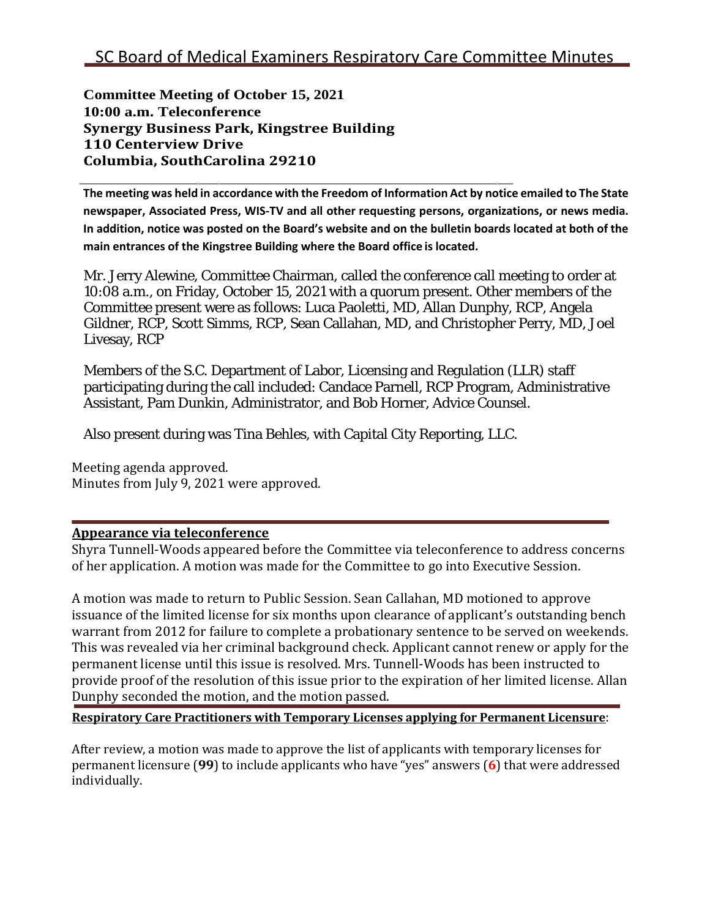**Committee Meeting of October 15, 2021 10:00 a.m. Teleconference Synergy Business Park, Kingstree Building 110 Centerview Drive Columbia, SouthCarolina 29210**

The meeting was held in accordance with the Freedom of Information Act by notice emailed to The State **newspaper, Associated Press, WIS-TV and all other requesting persons, organizations, or news media.**  In addition, notice was posted on the Board's website and on the bulletin boards located at both of the **main entrances of the Kingstree Building where the Board office is located.**

Mr. Jerry Alewine, Committee Chairman, called the conference call meeting to order at 10:08 a.m., on Friday, October 15, 2021 with a quorum present. Other members of the Committee present were as follows: Luca Paoletti, MD, Allan Dunphy, RCP, Angela Gildner, RCP, Scott Simms, RCP, Sean Callahan, MD, and Christopher Perry, MD, Joel Livesay, RCP

Members of the S.C. Department of Labor, Licensing and Regulation (LLR) staff participating during the call included: Candace Parnell, RCP Program, Administrative Assistant, Pam Dunkin, Administrator, and Bob Horner, Advice Counsel.

Also present during was Tina Behles, with Capital City Reporting, LLC.

Meeting agenda approved. Minutes from July 9, 2021 were approved.

## **Appearance via teleconference**

Shyra Tunnell-Woods appeared before the Committee via teleconference to address concerns of her application. A motion was made for the Committee to go into Executive Session.

A motion was made to return to Public Session. Sean Callahan, MD motioned to approve issuance of the limited license for six months upon clearance of applicant's outstanding bench warrant from 2012 for failure to complete a probationary sentence to be served on weekends. This was revealed via her criminal background check. Applicant cannot renew or apply for the permanent license until this issue is resolved. Mrs. Tunnell-Woods has been instructed to provide proof of the resolution of this issue prior to the expiration of her limited license. Allan Dunphy seconded the motion, and the motion passed.

**Respiratory Care Practitioners with Temporary Licenses applying for Permanent Licensure**:

After review, a motion was made to approve the list of applicants with temporary licenses for permanent licensure (**99**) to include applicants who have "yes" answers (**6**) that were addressed individually.